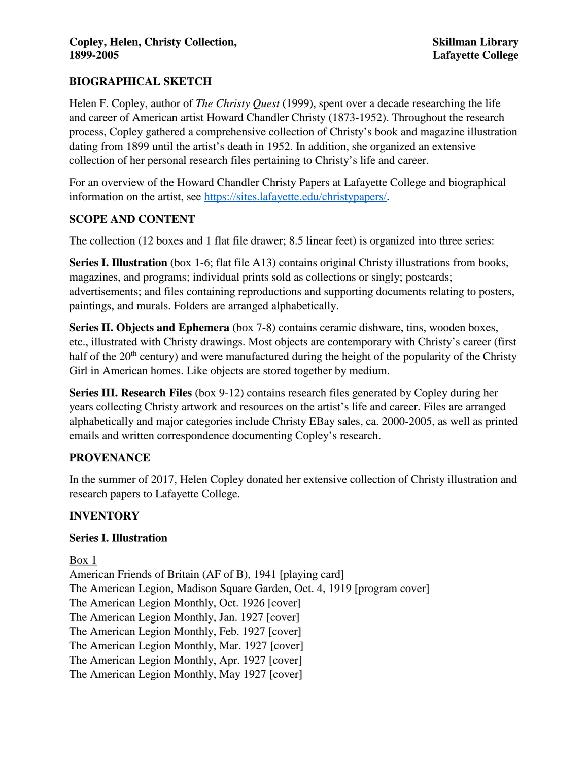# **BIOGRAPHICAL SKETCH**

Helen F. Copley, author of *The Christy Quest* (1999), spent over a decade researching the life and career of American artist Howard Chandler Christy (1873-1952). Throughout the research process, Copley gathered a comprehensive collection of Christy's book and magazine illustration dating from 1899 until the artist's death in 1952. In addition, she organized an extensive collection of her personal research files pertaining to Christy's life and career.

For an overview of the Howard Chandler Christy Papers at Lafayette College and biographical information on the artist, see [https://sites.lafayette.edu/christypapers/.](https://sites.lafayette.edu/christypapers/)

# **SCOPE AND CONTENT**

The collection (12 boxes and 1 flat file drawer; 8.5 linear feet) is organized into three series:

**Series I. Illustration** (box 1-6; flat file A13) contains original Christy illustrations from books, magazines, and programs; individual prints sold as collections or singly; postcards; advertisements; and files containing reproductions and supporting documents relating to posters, paintings, and murals. Folders are arranged alphabetically.

**Series II. Objects and Ephemera** (box 7-8) contains ceramic dishware, tins, wooden boxes, etc., illustrated with Christy drawings. Most objects are contemporary with Christy's career (first half of the  $20<sup>th</sup>$  century) and were manufactured during the height of the popularity of the Christy Girl in American homes. Like objects are stored together by medium.

**Series III. Research Files** (box 9-12) contains research files generated by Copley during her years collecting Christy artwork and resources on the artist's life and career. Files are arranged alphabetically and major categories include Christy EBay sales, ca. 2000-2005, as well as printed emails and written correspondence documenting Copley's research.

## **PROVENANCE**

In the summer of 2017, Helen Copley donated her extensive collection of Christy illustration and research papers to Lafayette College.

# **INVENTORY**

## **Series I. Illustration**

Box 1 American Friends of Britain (AF of B), 1941 [playing card] The American Legion, Madison Square Garden, Oct. 4, 1919 [program cover] The American Legion Monthly, Oct. 1926 [cover] The American Legion Monthly, Jan. 1927 [cover] The American Legion Monthly, Feb. 1927 [cover] The American Legion Monthly, Mar. 1927 [cover] The American Legion Monthly, Apr. 1927 [cover] The American Legion Monthly, May 1927 [cover]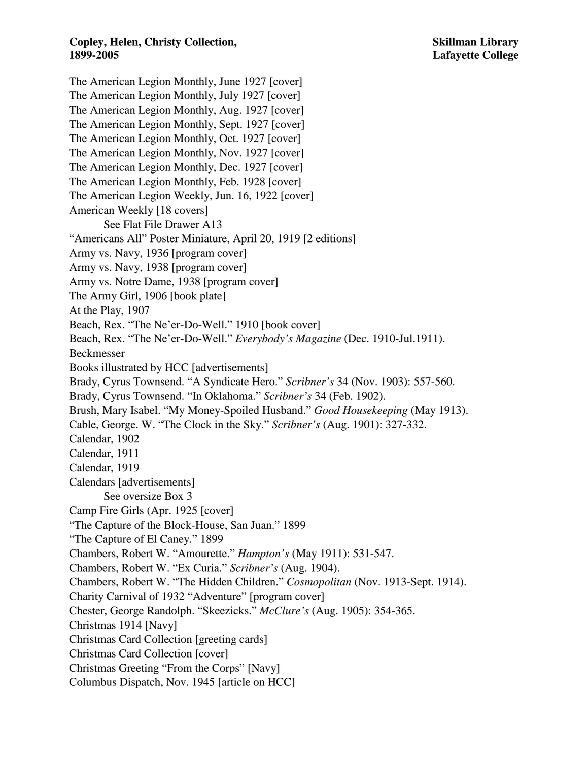The American Legion Monthly, June 1927 [cover] The American Legion Monthly, July 1927 [cover] The American Legion Monthly, Aug. 1927 [cover] The American Legion Monthly, Sept. 1927 [cover] The American Legion Monthly, Oct. 1927 [cover] The American Legion Monthly, Nov. 1927 [cover] The American Legion Monthly, Dec. 1927 [cover] The American Legion Monthly, Feb. 1928 [cover] The American Legion Weekly, Jun. 16, 1922 [cover] American Weekly [18 covers] See Flat File Drawer A13 "Americans All" Poster Miniature, April 20, 1919 [2 editions] Army vs. Navy, 1936 [program cover] Army vs. Navy, 1938 [program cover] Army vs. Notre Dame, 1938 [program cover] The Army Girl, 1906 [book plate] At the Play, 1907 Beach, Rex. "The Ne'er-Do-Well." 1910 [book cover] Beach, Rex. "The Ne'er-Do-Well." *Everybody's Magazine* (Dec. 1910-Jul.1911). Beckmesser Books illustrated by HCC [advertisements] Brady, Cyrus Townsend. "A Syndicate Hero." *Scribner's* 34 (Nov. 1903): 557-560. Brady, Cyrus Townsend. "In Oklahoma." *Scribner's* 34 (Feb. 1902). Brush, Mary Isabel. "My Money-Spoiled Husband." *Good Housekeeping* (May 1913). Cable, George. W. "The Clock in the Sky." *Scribner's* (Aug. 1901): 327-332. Calendar, 1902 Calendar, 1911 Calendar, 1919 Calendars [advertisements] See oversize Box 3 Camp Fire Girls (Apr. 1925 [cover] "The Capture of the Block-House, San Juan." 1899 "The Capture of El Caney." 1899 Chambers, Robert W. "Amourette." *Hampton's* (May 1911): 531-547. Chambers, Robert W. "Ex Curia." *Scribner's* (Aug. 1904). Chambers, Robert W. "The Hidden Children." *Cosmopolitan* (Nov. 1913-Sept. 1914). Charity Carnival of 1932 "Adventure" [program cover] Chester, George Randolph. "Skeezicks." *McClure's* (Aug. 1905): 354-365. Christmas 1914 [Navy] Christmas Card Collection [greeting cards] Christmas Card Collection [cover] Christmas Greeting "From the Corps" [Navy] Columbus Dispatch, Nov. 1945 [article on HCC]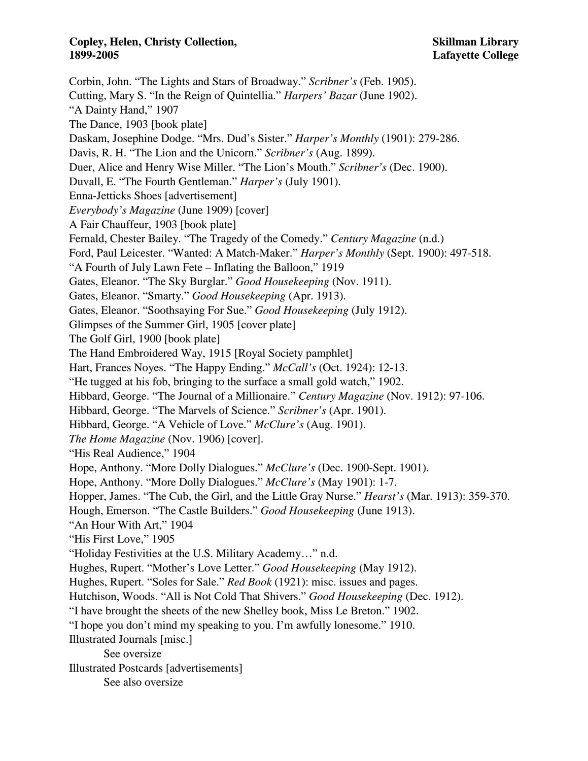Corbin, John. "The Lights and Stars of Broadway." *Scribner's* (Feb. 1905). Cutting, Mary S. "In the Reign of Quintellia." *Harpers' Bazar* (June 1902). "A Dainty Hand," 1907 The Dance, 1903 [book plate] Daskam, Josephine Dodge. "Mrs. Dud's Sister." *Harper's Monthly* (1901): 279-286. Davis, R. H. "The Lion and the Unicorn." *Scribner's* (Aug. 1899). Duer, Alice and Henry Wise Miller. "The Lion's Mouth." *Scribner's* (Dec. 1900). Duvall, E. "The Fourth Gentleman." *Harper's* (July 1901). Enna-Jetticks Shoes [advertisement] *Everybody's Magazine* (June 1909) [cover] A Fair Chauffeur, 1903 [book plate] Fernald, Chester Bailey. "The Tragedy of the Comedy." *Century Magazine* (n.d.) Ford, Paul Leicester. "Wanted: A Match-Maker." *Harper's Monthly* (Sept. 1900): 497-518. "A Fourth of July Lawn Fete – Inflating the Balloon," 1919 Gates, Eleanor. "The Sky Burglar." *Good Housekeeping* (Nov. 1911). Gates, Eleanor. "Smarty." *Good Housekeeping* (Apr. 1913). Gates, Eleanor. "Soothsaying For Sue." *Good Housekeeping* (July 1912). Glimpses of the Summer Girl, 1905 [cover plate] The Golf Girl, 1900 [book plate] The Hand Embroidered Way, 1915 [Royal Society pamphlet] Hart, Frances Noyes. "The Happy Ending." *McCall's* (Oct. 1924): 12-13. "He tugged at his fob, bringing to the surface a small gold watch," 1902. Hibbard, George. "The Journal of a Millionaire." *Century Magazine* (Nov. 1912): 97-106. Hibbard, George. "The Marvels of Science." *Scribner's* (Apr. 1901). Hibbard, George. "A Vehicle of Love." *McClure's* (Aug. 1901). *The Home Magazine* (Nov. 1906) [cover]. "His Real Audience," 1904 Hope, Anthony. "More Dolly Dialogues." *McClure's* (Dec. 1900-Sept. 1901). Hope, Anthony. "More Dolly Dialogues." *McClure's* (May 1901): 1-7. Hopper, James. "The Cub, the Girl, and the Little Gray Nurse." *Hearst's* (Mar. 1913): 359-370. Hough, Emerson. "The Castle Builders." *Good Housekeeping* (June 1913). "An Hour With Art," 1904 "His First Love," 1905 "Holiday Festivities at the U.S. Military Academy…" n.d. Hughes, Rupert. "Mother's Love Letter." *Good Housekeeping* (May 1912). Hughes, Rupert. "Soles for Sale." *Red Book* (1921): misc. issues and pages. Hutchison, Woods. "All is Not Cold That Shivers." *Good Housekeeping* (Dec. 1912). "I have brought the sheets of the new Shelley book, Miss Le Breton." 1902. "I hope you don't mind my speaking to you. I'm awfully lonesome." 1910. Illustrated Journals [misc.] See oversize Illustrated Postcards [advertisements] See also oversize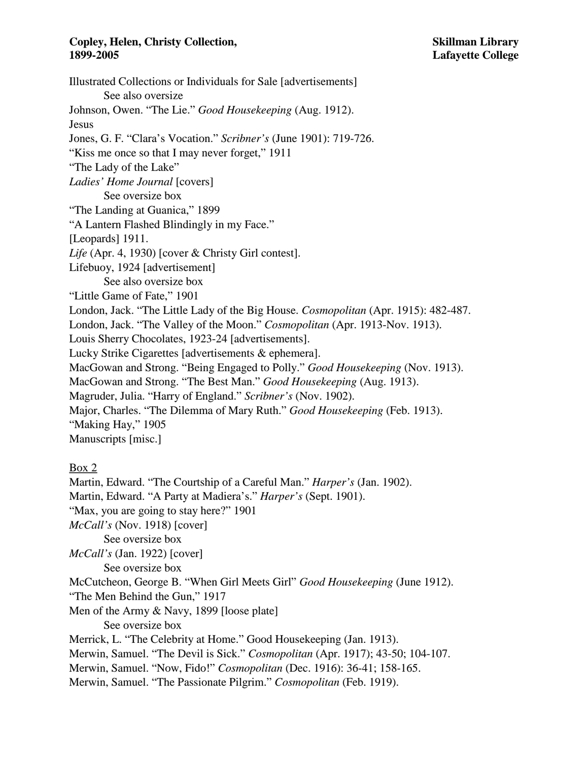Illustrated Collections or Individuals for Sale [advertisements] See also oversize Johnson, Owen. "The Lie." *Good Housekeeping* (Aug. 1912). Jesus Jones, G. F. "Clara's Vocation." *Scribner's* (June 1901): 719-726. "Kiss me once so that I may never forget," 1911 "The Lady of the Lake" *Ladies' Home Journal* [covers] See oversize box "The Landing at Guanica," 1899 "A Lantern Flashed Blindingly in my Face." [Leopards] 1911. *Life* (Apr. 4, 1930) [cover & Christy Girl contest]. Lifebuoy, 1924 [advertisement] See also oversize box "Little Game of Fate," 1901 London, Jack. "The Little Lady of the Big House. *Cosmopolitan* (Apr. 1915): 482-487. London, Jack. "The Valley of the Moon." *Cosmopolitan* (Apr. 1913-Nov. 1913). Louis Sherry Chocolates, 1923-24 [advertisements]. Lucky Strike Cigarettes [advertisements & ephemera]. MacGowan and Strong. "Being Engaged to Polly." *Good Housekeeping* (Nov. 1913). MacGowan and Strong. "The Best Man." *Good Housekeeping* (Aug. 1913). Magruder, Julia. "Harry of England." *Scribner's* (Nov. 1902). Major, Charles. "The Dilemma of Mary Ruth." *Good Housekeeping* (Feb. 1913). "Making Hay," 1905 Manuscripts [misc.] Box 2

Martin, Edward. "The Courtship of a Careful Man." *Harper's* (Jan. 1902). Martin, Edward. "A Party at Madiera's." *Harper's* (Sept. 1901). "Max, you are going to stay here?" 1901 *McCall's* (Nov. 1918) [cover] See oversize box *McCall's* (Jan. 1922) [cover] See oversize box McCutcheon, George B. "When Girl Meets Girl" *Good Housekeeping* (June 1912). "The Men Behind the Gun," 1917 Men of the Army & Navy, 1899 [loose plate] See oversize box Merrick, L. "The Celebrity at Home." Good Housekeeping (Jan. 1913). Merwin, Samuel. "The Devil is Sick." *Cosmopolitan* (Apr. 1917); 43-50; 104-107. Merwin, Samuel. "Now, Fido!" *Cosmopolitan* (Dec. 1916): 36-41; 158-165. Merwin, Samuel. "The Passionate Pilgrim." *Cosmopolitan* (Feb. 1919).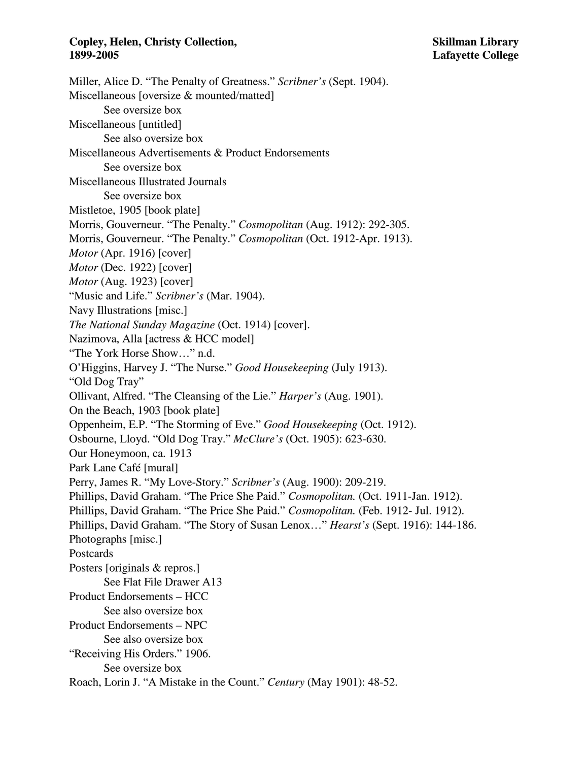Miller, Alice D. "The Penalty of Greatness." *Scribner's* (Sept. 1904). Miscellaneous [oversize & mounted/matted] See oversize box Miscellaneous [untitled] See also oversize box Miscellaneous Advertisements & Product Endorsements See oversize box Miscellaneous Illustrated Journals See oversize box Mistletoe, 1905 [book plate] Morris, Gouverneur. "The Penalty." *Cosmopolitan* (Aug. 1912): 292-305. Morris, Gouverneur. "The Penalty." *Cosmopolitan* (Oct. 1912-Apr. 1913). *Motor* (Apr. 1916) [cover] *Motor* (Dec. 1922) [cover] *Motor* (Aug. 1923) [cover] "Music and Life." *Scribner's* (Mar. 1904). Navy Illustrations [misc.] *The National Sunday Magazine* (Oct. 1914) [cover]. Nazimova, Alla [actress & HCC model] "The York Horse Show…" n.d. O'Higgins, Harvey J. "The Nurse." *Good Housekeeping* (July 1913). "Old Dog Tray" Ollivant, Alfred. "The Cleansing of the Lie." *Harper's* (Aug. 1901). On the Beach, 1903 [book plate] Oppenheim, E.P. "The Storming of Eve." *Good Housekeeping* (Oct. 1912). Osbourne, Lloyd. "Old Dog Tray." *McClure's* (Oct. 1905): 623-630. Our Honeymoon, ca. 1913 Park Lane Café [mural] Perry, James R. "My Love-Story." *Scribner's* (Aug. 1900): 209-219. Phillips, David Graham. "The Price She Paid." *Cosmopolitan.* (Oct. 1911-Jan. 1912). Phillips, David Graham. "The Price She Paid." *Cosmopolitan.* (Feb. 1912- Jul. 1912). Phillips, David Graham. "The Story of Susan Lenox…" *Hearst's* (Sept. 1916): 144-186. Photographs [misc.] Postcards Posters [originals & repros.] See Flat File Drawer A13 Product Endorsements – HCC See also oversize box Product Endorsements – NPC See also oversize box "Receiving His Orders." 1906. See oversize box Roach, Lorin J. "A Mistake in the Count." *Century* (May 1901): 48-52.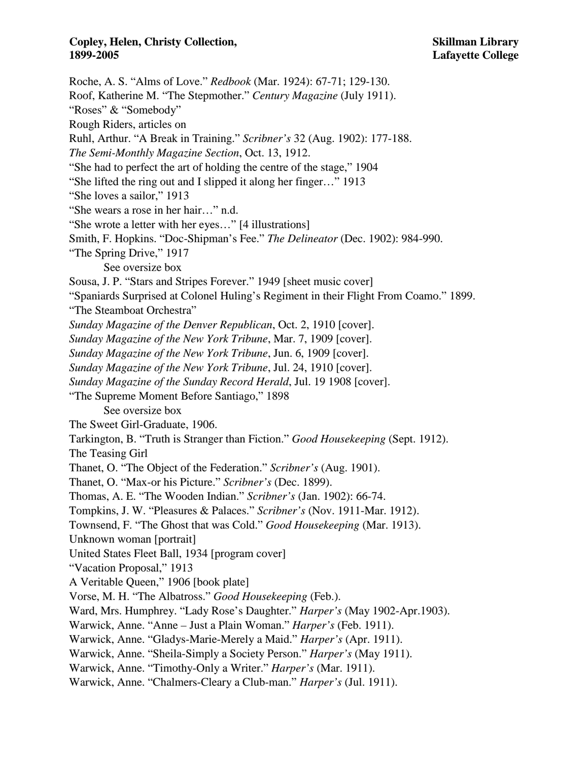Roche, A. S. "Alms of Love." *Redbook* (Mar. 1924): 67-71; 129-130. Roof, Katherine M. "The Stepmother." *Century Magazine* (July 1911). "Roses" & "Somebody" Rough Riders, articles on Ruhl, Arthur. "A Break in Training." *Scribner's* 32 (Aug. 1902): 177-188. *The Semi-Monthly Magazine Section*, Oct. 13, 1912. "She had to perfect the art of holding the centre of the stage," 1904 "She lifted the ring out and I slipped it along her finger…" 1913 "She loves a sailor," 1913 "She wears a rose in her hair…" n.d. "She wrote a letter with her eyes…" [4 illustrations] Smith, F. Hopkins. "Doc-Shipman's Fee." *The Delineator* (Dec. 1902): 984-990. "The Spring Drive," 1917 See oversize box Sousa, J. P. "Stars and Stripes Forever." 1949 [sheet music cover] "Spaniards Surprised at Colonel Huling's Regiment in their Flight From Coamo." 1899. "The Steamboat Orchestra" *Sunday Magazine of the Denver Republican*, Oct. 2, 1910 [cover]. *Sunday Magazine of the New York Tribune*, Mar. 7, 1909 [cover]. *Sunday Magazine of the New York Tribune*, Jun. 6, 1909 [cover]. *Sunday Magazine of the New York Tribune*, Jul. 24, 1910 [cover]. *Sunday Magazine of the Sunday Record Herald*, Jul. 19 1908 [cover]. "The Supreme Moment Before Santiago," 1898 See oversize box The Sweet Girl-Graduate, 1906. Tarkington, B. "Truth is Stranger than Fiction." *Good Housekeeping* (Sept. 1912). The Teasing Girl Thanet, O. "The Object of the Federation." *Scribner's* (Aug. 1901). Thanet, O. "Max-or his Picture." *Scribner's* (Dec. 1899). Thomas, A. E. "The Wooden Indian." *Scribner's* (Jan. 1902): 66-74. Tompkins, J. W. "Pleasures & Palaces." *Scribner's* (Nov. 1911-Mar. 1912). Townsend, F. "The Ghost that was Cold." *Good Housekeeping* (Mar. 1913). Unknown woman [portrait] United States Fleet Ball, 1934 [program cover] "Vacation Proposal," 1913 A Veritable Queen," 1906 [book plate] Vorse, M. H. "The Albatross." *Good Housekeeping* (Feb.). Ward, Mrs. Humphrey. "Lady Rose's Daughter." *Harper's* (May 1902-Apr.1903). Warwick, Anne. "Anne – Just a Plain Woman." *Harper's* (Feb. 1911). Warwick, Anne. "Gladys-Marie-Merely a Maid." *Harper's* (Apr. 1911). Warwick, Anne. "Sheila-Simply a Society Person." *Harper's* (May 1911). Warwick, Anne. "Timothy-Only a Writer." *Harper's* (Mar. 1911). Warwick, Anne. "Chalmers-Cleary a Club-man." *Harper's* (Jul. 1911).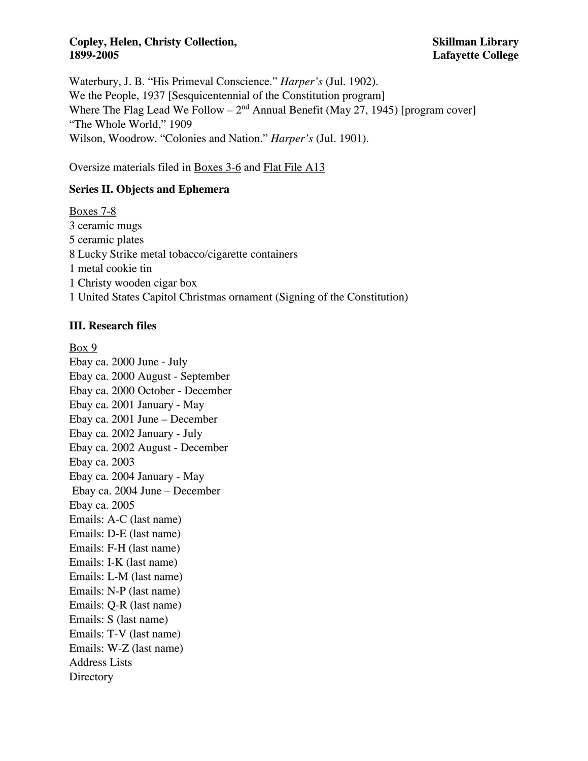Waterbury, J. B. "His Primeval Conscience." *Harper's* (Jul. 1902). We the People, 1937 [Sesquicentennial of the Constitution program] Where The Flag Lead We Follow –  $2<sup>nd</sup>$  Annual Benefit (May 27, 1945) [program cover] "The Whole World," 1909 Wilson, Woodrow. "Colonies and Nation." *Harper's* (Jul. 1901).

Oversize materials filed in Boxes 3-6 and Flat File A13

# **Series II. Objects and Ephemera**

Boxes 7-8 3 ceramic mugs 5 ceramic plates 8 Lucky Strike metal tobacco/cigarette containers 1 metal cookie tin 1 Christy wooden cigar box 1 United States Capitol Christmas ornament (Signing of the Constitution)

### **III. Research files**

Box 9 Ebay ca. 2000 June - July Ebay ca. 2000 August - September Ebay ca. 2000 October - December Ebay ca. 2001 January - May Ebay ca. 2001 June – December Ebay ca. 2002 January - July Ebay ca. 2002 August - December Ebay ca. 2003 Ebay ca. 2004 January - May Ebay ca. 2004 June – December Ebay ca. 2005 Emails: A-C (last name) Emails: D-E (last name) Emails: F-H (last name) Emails: I-K (last name) Emails: L-M (last name) Emails: N-P (last name) Emails: Q-R (last name) Emails: S (last name) Emails: T-V (last name) Emails: W-Z (last name) Address Lists **Directory**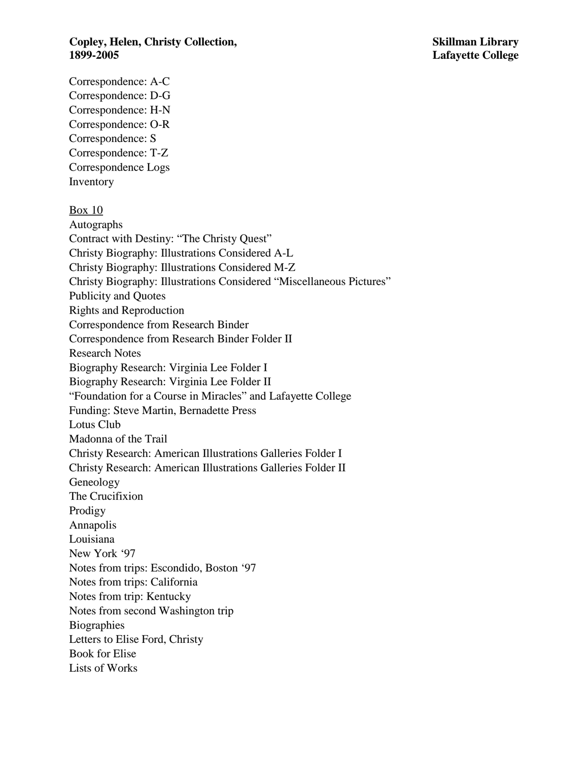Correspondence: A-C Correspondence: D-G Correspondence: H-N Correspondence: O-R Correspondence: S Correspondence: T-Z Correspondence Logs Inventory Box 10 Autographs Contract with Destiny: "The Christy Quest" Christy Biography: Illustrations Considered A-L Christy Biography: Illustrations Considered M-Z Christy Biography: Illustrations Considered "Miscellaneous Pictures" Publicity and Quotes Rights and Reproduction Correspondence from Research Binder Correspondence from Research Binder Folder II Research Notes Biography Research: Virginia Lee Folder I Biography Research: Virginia Lee Folder II "Foundation for a Course in Miracles" and Lafayette College Funding: Steve Martin, Bernadette Press Lotus Club Madonna of the Trail Christy Research: American Illustrations Galleries Folder I Christy Research: American Illustrations Galleries Folder II Geneology The Crucifixion Prodigy Annapolis Louisiana New York '97 Notes from trips: Escondido, Boston '97 Notes from trips: California Notes from trip: Kentucky Notes from second Washington trip **Biographies** Letters to Elise Ford, Christy Book for Elise Lists of Works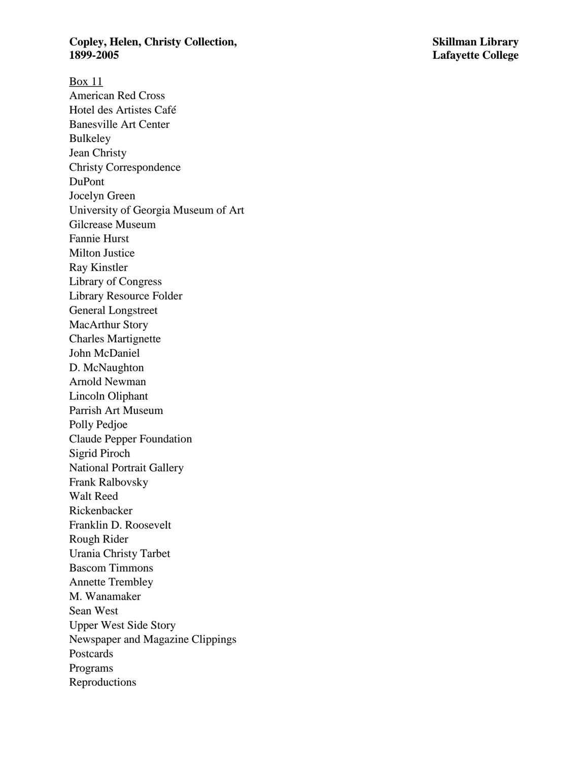### **Copley, Helen, Christy Collection, Skillman Library 1899**

Box 11 American Red Cross Hotel des Artistes Café Banesville Art Center Bulkeley Jean Christy Christy Correspondence DuPont Jocelyn Green University of Georgia Museum of Art Gilcrease Museum Fannie Hurst Milton Justice Ray Kinstler Library of Congress Library Resource Folder General Longstreet MacArthur Story Charles Martignette John McDaniel D. McNaughton Arnold Newman Lincoln Oliphant Parrish Art Museum Polly Pedjoe Claude Pepper Foundation Sigrid Piroch National Portrait Gallery Frank Ralbovsky Walt Reed Rickenbacker Franklin D. Roosevelt Rough Rider Urania Christy Tarbet Bascom Timmons Annette Trembley M. Wanamaker Sean West Upper West Side Story Newspaper and Magazine Clippings Postcards Programs Reproductions